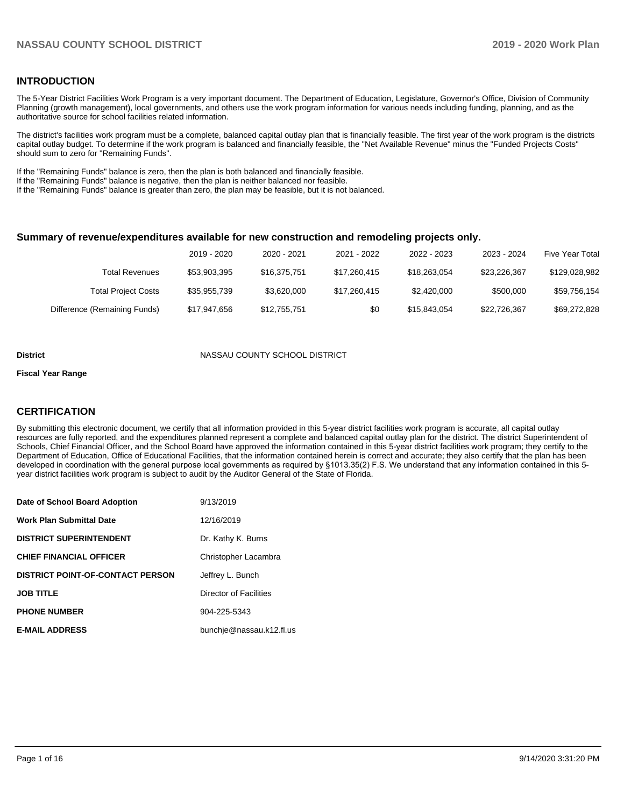## **INTRODUCTION**

The 5-Year District Facilities Work Program is a very important document. The Department of Education, Legislature, Governor's Office, Division of Community Planning (growth management), local governments, and others use the work program information for various needs including funding, planning, and as the authoritative source for school facilities related information.

The district's facilities work program must be a complete, balanced capital outlay plan that is financially feasible. The first year of the work program is the districts capital outlay budget. To determine if the work program is balanced and financially feasible, the "Net Available Revenue" minus the "Funded Projects Costs" should sum to zero for "Remaining Funds".

If the "Remaining Funds" balance is zero, then the plan is both balanced and financially feasible.

If the "Remaining Funds" balance is negative, then the plan is neither balanced nor feasible.

If the "Remaining Funds" balance is greater than zero, the plan may be feasible, but it is not balanced.

#### **Summary of revenue/expenditures available for new construction and remodeling projects only.**

|                              | 2019 - 2020  | 2020 - 2021  | 2021 - 2022  | 2022 - 2023  | 2023 - 2024  | Five Year Total |
|------------------------------|--------------|--------------|--------------|--------------|--------------|-----------------|
| <b>Total Revenues</b>        | \$53,903,395 | \$16,375,751 | \$17,260,415 | \$18,263,054 | \$23.226.367 | \$129,028,982   |
| <b>Total Project Costs</b>   | \$35,955,739 | \$3.620.000  | \$17,260,415 | \$2,420,000  | \$500,000    | \$59,756,154    |
| Difference (Remaining Funds) | \$17,947,656 | \$12,755,751 | \$0          | \$15,843,054 | \$22,726,367 | \$69,272,828    |

#### **District COUNTY SCHOOL DISTRICT**

#### **Fiscal Year Range**

## **CERTIFICATION**

By submitting this electronic document, we certify that all information provided in this 5-year district facilities work program is accurate, all capital outlay resources are fully reported, and the expenditures planned represent a complete and balanced capital outlay plan for the district. The district Superintendent of Schools, Chief Financial Officer, and the School Board have approved the information contained in this 5-year district facilities work program; they certify to the Department of Education, Office of Educational Facilities, that the information contained herein is correct and accurate; they also certify that the plan has been developed in coordination with the general purpose local governments as required by §1013.35(2) F.S. We understand that any information contained in this 5 year district facilities work program is subject to audit by the Auditor General of the State of Florida.

| Date of School Board Adoption           | 9/13/2019                |
|-----------------------------------------|--------------------------|
| Work Plan Submittal Date                | 12/16/2019               |
| <b>DISTRICT SUPERINTENDENT</b>          | Dr. Kathy K. Burns       |
| <b>CHIEF FINANCIAL OFFICER</b>          | Christopher Lacambra     |
| <b>DISTRICT POINT-OF-CONTACT PERSON</b> | Jeffrey L. Bunch         |
| <b>JOB TITLE</b>                        | Director of Facilities   |
| <b>PHONE NUMBER</b>                     | 904-225-5343             |
| <b>E-MAIL ADDRESS</b>                   | bunchje@nassau.k12.fl.us |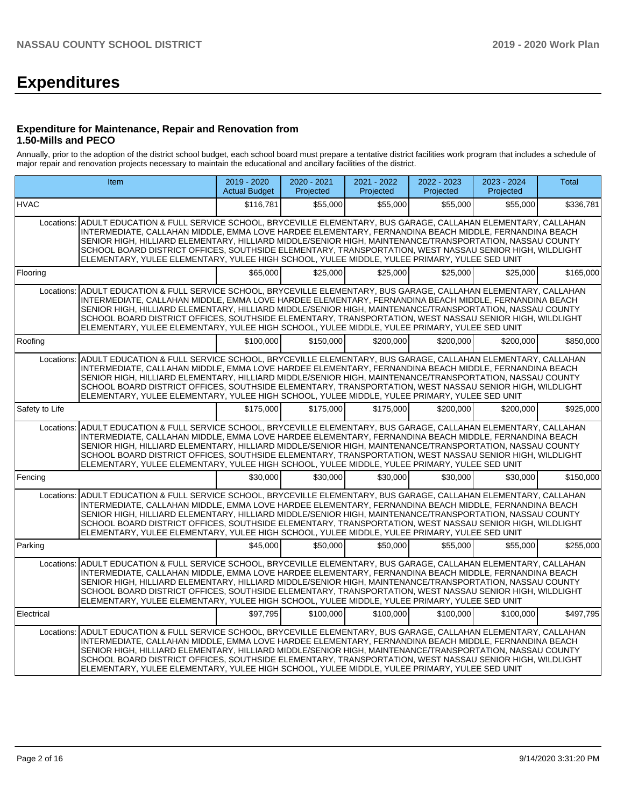# **Expenditures**

## **Expenditure for Maintenance, Repair and Renovation from 1.50-Mills and PECO**

Annually, prior to the adoption of the district school budget, each school board must prepare a tentative district facilities work program that includes a schedule of major repair and renovation projects necessary to maintain the educational and ancillary facilities of the district.

|                                                                                                                                                                                                                                                                                                                                                                                                                                                                                                                                                       | Item                                                                                                                                                                                                                                                                                                                                                                                                                                                                                                                                               | $2019 - 2020$<br><b>Actual Budget</b> | 2020 - 2021<br>Projected | 2021 - 2022<br>Projected | 2022 - 2023<br>Projected | 2023 - 2024<br>Projected | <b>Total</b> |  |  |  |  |
|-------------------------------------------------------------------------------------------------------------------------------------------------------------------------------------------------------------------------------------------------------------------------------------------------------------------------------------------------------------------------------------------------------------------------------------------------------------------------------------------------------------------------------------------------------|----------------------------------------------------------------------------------------------------------------------------------------------------------------------------------------------------------------------------------------------------------------------------------------------------------------------------------------------------------------------------------------------------------------------------------------------------------------------------------------------------------------------------------------------------|---------------------------------------|--------------------------|--------------------------|--------------------------|--------------------------|--------------|--|--|--|--|
| <b>HVAC</b>                                                                                                                                                                                                                                                                                                                                                                                                                                                                                                                                           |                                                                                                                                                                                                                                                                                                                                                                                                                                                                                                                                                    | \$116,781                             | \$55,000                 | \$55,000                 | \$55,000                 | \$55,000                 | \$336,781    |  |  |  |  |
| ADULT EDUCATION & FULL SERVICE SCHOOL, BRYCEVILLE ELEMENTARY, BUS GARAGE, CALLAHAN ELEMENTARY, CALLAHAN<br>Locations:<br>INTERMEDIATE, CALLAHAN MIDDLE, EMMA LOVE HARDEE ELEMENTARY, FERNANDINA BEACH MIDDLE, FERNANDINA BEACH<br>SENIOR HIGH, HILLIARD ELEMENTARY, HILLIARD MIDDLE/SENIOR HIGH, MAINTENANCE/TRANSPORTATION, NASSAU COUNTY<br>SCHOOL BOARD DISTRICT OFFICES, SOUTHSIDE ELEMENTARY, TRANSPORTATION, WEST NASSAU SENIOR HIGH, WILDLIGHT<br>ELEMENTARY, YULEE ELEMENTARY, YULEE HIGH SCHOOL, YULEE MIDDLE, YULEE PRIMARY, YULEE SED UNIT |                                                                                                                                                                                                                                                                                                                                                                                                                                                                                                                                                    |                                       |                          |                          |                          |                          |              |  |  |  |  |
| Flooring                                                                                                                                                                                                                                                                                                                                                                                                                                                                                                                                              |                                                                                                                                                                                                                                                                                                                                                                                                                                                                                                                                                    | \$65,000                              | \$25,000                 | \$25,000                 | \$25,000                 | \$25,000                 | \$165,000    |  |  |  |  |
| Locations:                                                                                                                                                                                                                                                                                                                                                                                                                                                                                                                                            | ADULT EDUCATION & FULL SERVICE SCHOOL, BRYCEVILLE ELEMENTARY, BUS GARAGE, CALLAHAN ELEMENTARY, CALLAHAN<br>INTERMEDIATE, CALLAHAN MIDDLE, EMMA LOVE HARDEE ELEMENTARY, FERNANDINA BEACH MIDDLE, FERNANDINA BEACH<br>SENIOR HIGH, HILLIARD ELEMENTARY, HILLIARD MIDDLE/SENIOR HIGH, MAINTENANCE/TRANSPORTATION, NASSAU COUNTY<br>SCHOOL BOARD DISTRICT OFFICES, SOUTHSIDE ELEMENTARY, TRANSPORTATION, WEST NASSAU SENIOR HIGH, WILDLIGHT<br>ELEMENTARY, YULEE ELEMENTARY, YULEE HIGH SCHOOL, YULEE MIDDLE, YULEE PRIMARY, YULEE SED UNIT            |                                       |                          |                          |                          |                          |              |  |  |  |  |
| Roofing                                                                                                                                                                                                                                                                                                                                                                                                                                                                                                                                               |                                                                                                                                                                                                                                                                                                                                                                                                                                                                                                                                                    | \$100,000                             | \$150,000                | \$200,000                | \$200,000                | \$200.000                | \$850.000    |  |  |  |  |
|                                                                                                                                                                                                                                                                                                                                                                                                                                                                                                                                                       | Locations: ADULT EDUCATION & FULL SERVICE SCHOOL, BRYCEVILLE ELEMENTARY, BUS GARAGE, CALLAHAN ELEMENTARY, CALLAHAN<br>INTERMEDIATE, CALLAHAN MIDDLE, EMMA LOVE HARDEE ELEMENTARY, FERNANDINA BEACH MIDDLE, FERNANDINA BEACH<br>SENIOR HIGH, HILLIARD ELEMENTARY, HILLIARD MIDDLE/SENIOR HIGH, MAINTENANCE/TRANSPORTATION, NASSAU COUNTY<br>SCHOOL BOARD DISTRICT OFFICES, SOUTHSIDE ELEMENTARY, TRANSPORTATION, WEST NASSAU SENIOR HIGH, WILDLIGHT<br>ELEMENTARY, YULEE ELEMENTARY, YULEE HIGH SCHOOL, YULEE MIDDLE, YULEE PRIMARY, YULEE SED UNIT |                                       |                          |                          |                          |                          |              |  |  |  |  |
| Safety to Life                                                                                                                                                                                                                                                                                                                                                                                                                                                                                                                                        |                                                                                                                                                                                                                                                                                                                                                                                                                                                                                                                                                    | \$175,000                             | \$175,000                | \$175,000                | \$200,000                | \$200.000                | \$925,000    |  |  |  |  |
| Locations:                                                                                                                                                                                                                                                                                                                                                                                                                                                                                                                                            | ADULT EDUCATION & FULL SERVICE SCHOOL, BRYCEVILLE ELEMENTARY, BUS GARAGE, CALLAHAN ELEMENTARY, CALLAHAN<br>INTERMEDIATE, CALLAHAN MIDDLE, EMMA LOVE HARDEE ELEMENTARY, FERNANDINA BEACH MIDDLE, FERNANDINA BEACH<br>SENIOR HIGH. HILLIARD ELEMENTARY. HILLIARD MIDDLE/SENIOR HIGH. MAINTENANCE/TRANSPORTATION. NASSAU COUNTY<br>SCHOOL BOARD DISTRICT OFFICES, SOUTHSIDE ELEMENTARY, TRANSPORTATION, WEST NASSAU SENIOR HIGH, WILDLIGHT<br>ELEMENTARY, YULEE ELEMENTARY, YULEE HIGH SCHOOL, YULEE MIDDLE, YULEE PRIMARY, YULEE SED UNIT            |                                       |                          |                          |                          |                          |              |  |  |  |  |
| Fencing                                                                                                                                                                                                                                                                                                                                                                                                                                                                                                                                               |                                                                                                                                                                                                                                                                                                                                                                                                                                                                                                                                                    | \$30,000                              | \$30,000                 | \$30,000                 | \$30,000                 | \$30,000                 | \$150,000    |  |  |  |  |
| Locations:                                                                                                                                                                                                                                                                                                                                                                                                                                                                                                                                            | ADULT EDUCATION & FULL SERVICE SCHOOL. BRYCEVILLE ELEMENTARY. BUS GARAGE. CALLAHAN ELEMENTARY. CALLAHAN<br>INTERMEDIATE, CALLAHAN MIDDLE, EMMA LOVE HARDEE ELEMENTARY, FERNANDINA BEACH MIDDLE, FERNANDINA BEACH<br>SENIOR HIGH, HILLIARD ELEMENTARY, HILLIARD MIDDLE/SENIOR HIGH, MAINTENANCE/TRANSPORTATION, NASSAU COUNTY<br>SCHOOL BOARD DISTRICT OFFICES, SOUTHSIDE ELEMENTARY, TRANSPORTATION, WEST NASSAU SENIOR HIGH, WILDLIGHT<br>ELEMENTARY, YULEE ELEMENTARY, YULEE HIGH SCHOOL, YULEE MIDDLE, YULEE PRIMARY, YULEE SED UNIT            |                                       |                          |                          |                          |                          |              |  |  |  |  |
| Parking                                                                                                                                                                                                                                                                                                                                                                                                                                                                                                                                               |                                                                                                                                                                                                                                                                                                                                                                                                                                                                                                                                                    | \$45,000                              | \$50,000                 | \$50,000                 | \$55,000                 | \$55,000                 | \$255.000    |  |  |  |  |
| Locations:                                                                                                                                                                                                                                                                                                                                                                                                                                                                                                                                            | ADULT EDUCATION & FULL SERVICE SCHOOL, BRYCEVILLE ELEMENTARY, BUS GARAGE, CALLAHAN ELEMENTARY, CALLAHAN<br>INTERMEDIATE, CALLAHAN MIDDLE, EMMA LOVE HARDEE ELEMENTARY, FERNANDINA BEACH MIDDLE, FERNANDINA BEACH<br>SENIOR HIGH, HILLIARD ELEMENTARY, HILLIARD MIDDLE/SENIOR HIGH, MAINTENANCE/TRANSPORTATION, NASSAU COUNTY<br>SCHOOL BOARD DISTRICT OFFICES, SOUTHSIDE ELEMENTARY, TRANSPORTATION, WEST NASSAU SENIOR HIGH, WILDLIGHT<br>ELEMENTARY, YULEE ELEMENTARY, YULEE HIGH SCHOOL, YULEE MIDDLE, YULEE PRIMARY, YULEE SED UNIT            |                                       |                          |                          |                          |                          |              |  |  |  |  |
| Electrical                                                                                                                                                                                                                                                                                                                                                                                                                                                                                                                                            |                                                                                                                                                                                                                                                                                                                                                                                                                                                                                                                                                    | \$97.795                              | \$100,000                | \$100,000                | \$100.000                | \$100,000                | \$497,795    |  |  |  |  |
|                                                                                                                                                                                                                                                                                                                                                                                                                                                                                                                                                       | Locations: ADULT EDUCATION & FULL SERVICE SCHOOL, BRYCEVILLE ELEMENTARY, BUS GARAGE, CALLAHAN ELEMENTARY, CALLAHAN<br>INTERMEDIATE, CALLAHAN MIDDLE, EMMA LOVE HARDEE ELEMENTARY, FERNANDINA BEACH MIDDLE, FERNANDINA BEACH<br>SENIOR HIGH, HILLIARD ELEMENTARY, HILLIARD MIDDLE/SENIOR HIGH, MAINTENANCE/TRANSPORTATION, NASSAU COUNTY<br>SCHOOL BOARD DISTRICT OFFICES, SOUTHSIDE ELEMENTARY, TRANSPORTATION, WEST NASSAU SENIOR HIGH, WILDLIGHT<br>ELEMENTARY, YULEE ELEMENTARY, YULEE HIGH SCHOOL, YULEE MIDDLE, YULEE PRIMARY, YULEE SED UNIT |                                       |                          |                          |                          |                          |              |  |  |  |  |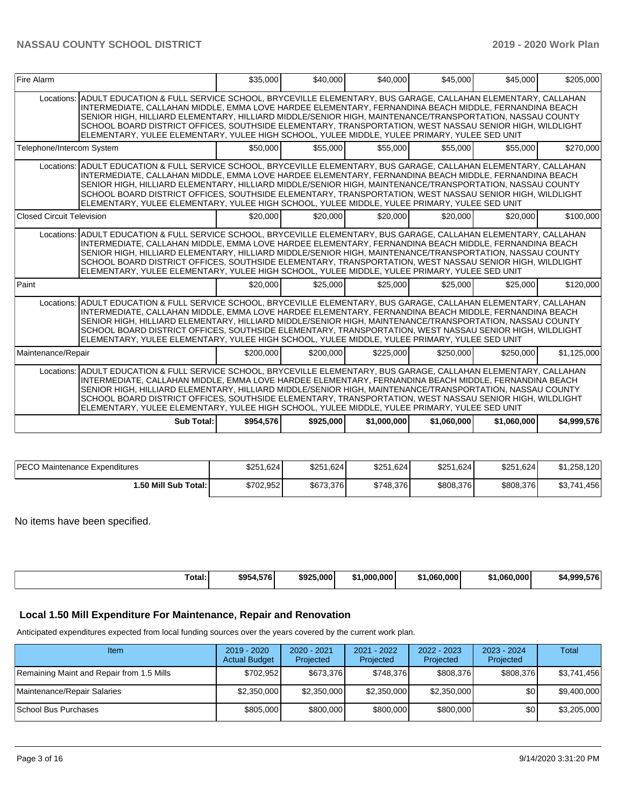| <b>Fire Alarm</b>                                                                                                                                                                                                                                                                                                                                                                                                                                                                                                                                   | \$35,000  | \$40,000  | \$40,000    | \$45,000    | \$45,000    | \$205,000   |
|-----------------------------------------------------------------------------------------------------------------------------------------------------------------------------------------------------------------------------------------------------------------------------------------------------------------------------------------------------------------------------------------------------------------------------------------------------------------------------------------------------------------------------------------------------|-----------|-----------|-------------|-------------|-------------|-------------|
| Locations: ADULT EDUCATION & FULL SERVICE SCHOOL, BRYCEVILLE ELEMENTARY, BUS GARAGE, CALLAHAN ELEMENTARY, CALLAHAN<br>INTERMEDIATE, CALLAHAN MIDDLE, EMMA LOVE HARDEE ELEMENTARY, FERNANDINA BEACH MIDDLE, FERNANDINA BEACH<br>ISENIOR HIGH. HILLIARD ELEMENTARY. HILLIARD MIDDLE/SENIOR HIGH. MAINTENANCE/TRANSPORTATION. NASSAU COUNTY<br>SCHOOL BOARD DISTRICT OFFICES, SOUTHSIDE ELEMENTARY, TRANSPORTATION, WEST NASSAU SENIOR HIGH, WILDLIGHT<br>ELEMENTARY, YULEE ELEMENTARY, YULEE HIGH SCHOOL, YULEE MIDDLE, YULEE PRIMARY, YULEE SED UNIT |           |           |             |             |             |             |
| Telephone/Intercom System                                                                                                                                                                                                                                                                                                                                                                                                                                                                                                                           | \$50,000  | \$55,000  | \$55,000    | \$55,000    | \$55,000    | \$270.000   |
| Locations: ADULT EDUCATION & FULL SERVICE SCHOOL, BRYCEVILLE ELEMENTARY, BUS GARAGE, CALLAHAN ELEMENTARY, CALLAHAN<br>INTERMEDIATE, CALLAHAN MIDDLE, EMMA LOVE HARDEE ELEMENTARY, FERNANDINA BEACH MIDDLE, FERNANDINA BEACH<br>SENIOR HIGH, HILLIARD ELEMENTARY, HILLIARD MIDDLE/SENIOR HIGH, MAINTENANCE/TRANSPORTATION, NASSAU COUNTY<br>SCHOOL BOARD DISTRICT OFFICES, SOUTHSIDE ELEMENTARY, TRANSPORTATION, WEST NASSAU SENIOR HIGH, WILDLIGHT<br>ELEMENTARY, YULEE ELEMENTARY, YULEE HIGH SCHOOL, YULEE MIDDLE, YULEE PRIMARY, YULEE SED UNIT  |           |           |             |             |             |             |
| Closed Circuit Television                                                                                                                                                                                                                                                                                                                                                                                                                                                                                                                           | \$20,000  | \$20,000  | \$20,000    | \$20,000    | \$20,000    | \$100,000   |
| Locations: ADULT EDUCATION & FULL SERVICE SCHOOL, BRYCEVILLE ELEMENTARY, BUS GARAGE, CALLAHAN ELEMENTARY, CALLAHAN<br>INTERMEDIATE, CALLAHAN MIDDLE, EMMA LOVE HARDEE ELEMENTARY, FERNANDINA BEACH MIDDLE, FERNANDINA BEACH<br>SENIOR HIGH, HILLIARD ELEMENTARY, HILLIARD MIDDLE/SENIOR HIGH, MAINTENANCE/TRANSPORTATION, NASSAU COUNTY<br>SCHOOL BOARD DISTRICT OFFICES. SOUTHSIDE ELEMENTARY, TRANSPORTATION, WEST NASSAU SENIOR HIGH, WILDLIGHT<br>ELEMENTARY, YULEE ELEMENTARY, YULEE HIGH SCHOOL, YULEE MIDDLE, YULEE PRIMARY, YULEE SED UNIT  |           |           |             |             |             |             |
| Paint                                                                                                                                                                                                                                                                                                                                                                                                                                                                                                                                               | \$20,000  | \$25,000  | \$25,000    | \$25,000    | \$25,000    | \$120,000   |
| Locations: ADULT EDUCATION & FULL SERVICE SCHOOL, BRYCEVILLE ELEMENTARY, BUS GARAGE, CALLAHAN ELEMENTARY, CALLAHAN<br>INTERMEDIATE, CALLAHAN MIDDLE, EMMA LOVE HARDEE ELEMENTARY, FERNANDINA BEACH MIDDLE, FERNANDINA BEACH<br>SENIOR HIGH, HILLIARD ELEMENTARY, HILLIARD MIDDLE/SENIOR HIGH, MAINTENANCE/TRANSPORTATION, NASSAU COUNTY<br>SCHOOL BOARD DISTRICT OFFICES, SOUTHSIDE ELEMENTARY, TRANSPORTATION, WEST NASSAU SENIOR HIGH, WILDLIGHT<br>ELEMENTARY, YULEE ELEMENTARY, YULEE HIGH SCHOOL, YULEE MIDDLE, YULEE PRIMARY, YULEE SED UNIT  |           |           |             |             |             |             |
| Maintenance/Repair                                                                                                                                                                                                                                                                                                                                                                                                                                                                                                                                  | \$200,000 | \$200,000 | \$225,000   | \$250,000   | \$250,000   | \$1,125,000 |
| Locations: ADULT EDUCATION & FULL SERVICE SCHOOL, BRYCEVILLE ELEMENTARY, BUS GARAGE, CALLAHAN ELEMENTARY, CALLAHAN<br>INTERMEDIATE, CALLAHAN MIDDLE, EMMA LOVE HARDEE ELEMENTARY, FERNANDINA BEACH MIDDLE, FERNANDINA BEACH<br>SENIOR HIGH, HILLIARD ELEMENTARY, HILLIARD MIDDLE/SENIOR HIGH, MAINTENANCE/TRANSPORTATION, NASSAU COUNTY<br>SCHOOL BOARD DISTRICT OFFICES, SOUTHSIDE ELEMENTARY, TRANSPORTATION, WEST NASSAU SENIOR HIGH, WILDLIGHT<br>ELEMENTARY, YULEE ELEMENTARY, YULEE HIGH SCHOOL, YULEE MIDDLE, YULEE PRIMARY, YULEE SED UNIT  |           |           |             |             |             |             |
| Sub Total:                                                                                                                                                                                                                                                                                                                                                                                                                                                                                                                                          | \$954.576 | \$925,000 | \$1,000,000 | \$1,060,000 | \$1,060,000 | \$4,999,576 |

| PECO Maintenance Expenditures | \$251,624 | \$251,624 | \$251,624 | \$251,624 | \$251,624 | \$1,258,120 |
|-------------------------------|-----------|-----------|-----------|-----------|-----------|-------------|
| 1.50 Mill Sub Total: I        | \$702,952 | \$673,376 | \$748.376 | \$808,376 | \$808,376 | \$3,741,456 |

No items have been specified.

| \$954<br>\$925,000<br>.000.000<br>4.576'<br>.060.000<br>.060.000<br>nnn.<br>Гоtal:<br>. . |  |  |  |     |
|-------------------------------------------------------------------------------------------|--|--|--|-----|
|                                                                                           |  |  |  | 576 |

## **Local 1.50 Mill Expenditure For Maintenance, Repair and Renovation**

Anticipated expenditures expected from local funding sources over the years covered by the current work plan.

| Item                                      | $2019 - 2020$<br><b>Actual Budget</b> | $2020 - 2021$<br>Projected | 2021 - 2022<br>Projected | 2022 - 2023<br>Projected | 2023 - 2024<br>Projected | Total       |
|-------------------------------------------|---------------------------------------|----------------------------|--------------------------|--------------------------|--------------------------|-------------|
| Remaining Maint and Repair from 1.5 Mills | \$702.952                             | \$673,376                  | \$748.376                | \$808,376                | \$808.376                | \$3,741,456 |
| Maintenance/Repair Salaries               | \$2,350,000                           | \$2,350,000                | \$2,350,000              | \$2,350,000              | \$0 <sub>1</sub>         | \$9,400,000 |
| School Bus Purchases                      | \$805,000                             | \$800,000                  | \$800,000                | \$800,000                | \$0                      | \$3,205,000 |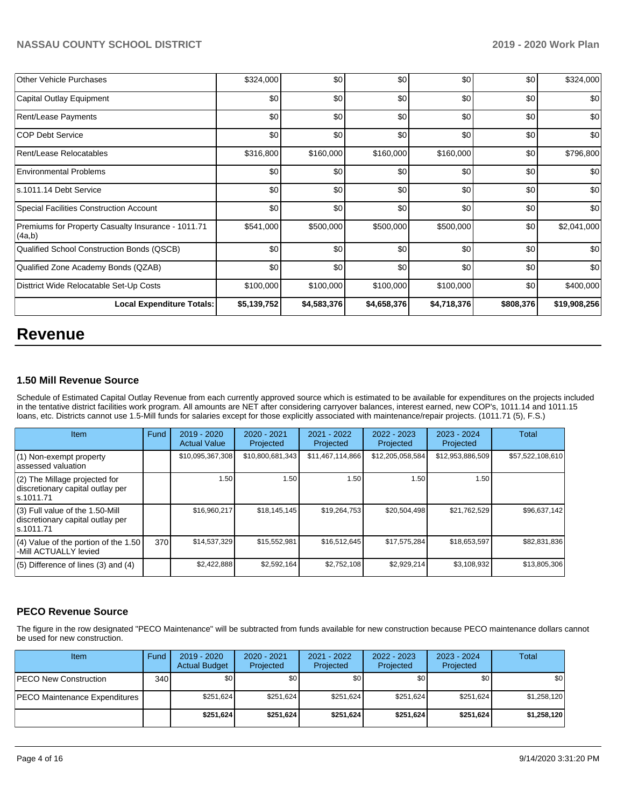| <b>Other Vehicle Purchases</b>                               | \$324,000        | \$0         | \$0         | \$0         | \$0       | \$324,000    |
|--------------------------------------------------------------|------------------|-------------|-------------|-------------|-----------|--------------|
| Capital Outlay Equipment                                     | \$0              | \$0         | \$0         | \$0         | \$0       | \$0          |
| <b>Rent/Lease Payments</b>                                   | \$0              | \$0         | \$0         | \$0         | \$0       | \$0          |
| <b>COP Debt Service</b>                                      | \$0              | \$0         | \$0         | \$0         | \$0       | \$0          |
| Rent/Lease Relocatables                                      | \$316,800        | \$160,000   | \$160,000   | \$160,000   | \$0       | \$796,800    |
| Environmental Problems                                       | \$0              | \$0         | \$0         | \$0         | \$0       | \$0          |
| ls.1011.14 Debt Service                                      | \$0              | \$0         | \$0         | \$0         | \$0       | \$0          |
| Special Facilities Construction Account                      | \$0 <sub>1</sub> | \$0         | \$0         | \$0         | \$0       | \$0          |
| Premiums for Property Casualty Insurance - 1011.71<br>(4a,b) | \$541,000        | \$500,000   | \$500,000   | \$500,000   | \$0       | \$2,041,000  |
| Qualified School Construction Bonds (QSCB)                   | \$0              | \$0         | \$0         | \$0         | \$0       | \$0          |
| Qualified Zone Academy Bonds (QZAB)                          | \$0              | \$0         | \$0         | \$0         | \$0       | \$0          |
| Disttrict Wide Relocatable Set-Up Costs                      | \$100,000        | \$100,000   | \$100,000   | \$100,000   | \$0       | \$400,000    |
| <b>Local Expenditure Totals:</b>                             | \$5,139,752      | \$4,583,376 | \$4,658,376 | \$4,718,376 | \$808,376 | \$19,908,256 |

## **Revenue**

## **1.50 Mill Revenue Source**

Schedule of Estimated Capital Outlay Revenue from each currently approved source which is estimated to be available for expenditures on the projects included in the tentative district facilities work program. All amounts are NET after considering carryover balances, interest earned, new COP's, 1011.14 and 1011.15 loans, etc. Districts cannot use 1.5-Mill funds for salaries except for those explicitly associated with maintenance/repair projects. (1011.71 (5), F.S.)

| Item                                                                                | <b>Fund</b> | $2019 - 2020$<br><b>Actual Value</b> | 2020 - 2021<br>Projected | 2021 - 2022<br>Projected | 2022 - 2023<br>Projected | $2023 - 2024$<br>Projected | Total            |
|-------------------------------------------------------------------------------------|-------------|--------------------------------------|--------------------------|--------------------------|--------------------------|----------------------------|------------------|
| $(1)$ Non-exempt property<br>lassessed valuation                                    |             | \$10,095,367,308                     | \$10,800,681,343         | \$11,467,114,866         | \$12,205,058,584         | \$12,953,886,509           | \$57,522,108,610 |
| (2) The Millage projected for<br>discretionary capital outlay per<br>ls.1011.71     |             | 1.50                                 | 1.50                     | 1.50                     | 1.50                     | 1.50                       |                  |
| $(3)$ Full value of the 1.50-Mill<br>discretionary capital outlay per<br>ls.1011.71 |             | \$16,960,217                         | \$18,145,145             | \$19,264,753             | \$20,504,498             | \$21,762,529               | \$96,637,142     |
| $(4)$ Value of the portion of the 1.50<br>-Mill ACTUALLY levied                     | 370         | \$14,537,329                         | \$15,552,981             | \$16,512,645             | \$17,575,284             | \$18,653,597               | \$82,831,836     |
| $(5)$ Difference of lines $(3)$ and $(4)$                                           |             | \$2,422,888                          | \$2,592,164              | \$2,752,108              | \$2,929,214              | \$3,108,932                | \$13,805,306     |

## **PECO Revenue Source**

The figure in the row designated "PECO Maintenance" will be subtracted from funds available for new construction because PECO maintenance dollars cannot be used for new construction.

| Item                          | Fund | $2019 - 2020$<br><b>Actual Budget</b> | $2020 - 2021$<br>Projected | 2021 - 2022<br>Projected | 2022 - 2023<br>Projected | $2023 - 2024$<br>Projected | Total       |
|-------------------------------|------|---------------------------------------|----------------------------|--------------------------|--------------------------|----------------------------|-------------|
| PECO New Construction         | 340  | \$0                                   | \$0                        | \$0                      | \$0                      | \$0                        | \$0         |
| PECO Maintenance Expenditures |      | \$251,624                             | \$251.624                  | \$251.624                | \$251.624                | \$251.624                  | \$1,258,120 |
|                               |      | \$251,624                             | \$251.624                  | \$251,624                | \$251,624                | \$251.624                  | \$1,258,120 |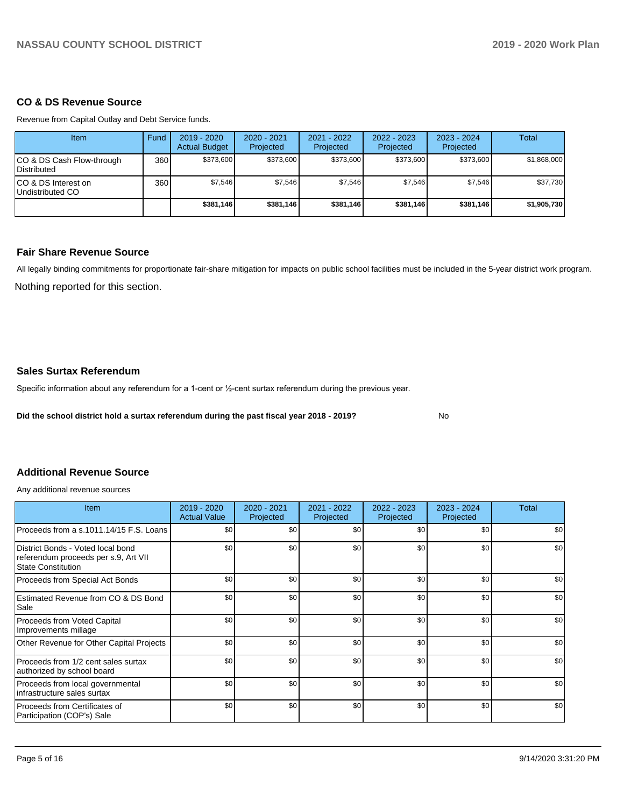## **CO & DS Revenue Source**

Revenue from Capital Outlay and Debt Service funds.

| Item                                            | Fund | 2019 - 2020<br><b>Actual Budget</b> | 2020 - 2021<br>Projected | 2021 - 2022<br>Projected | 2022 - 2023<br>Projected | $2023 - 2024$<br>Projected | Total       |
|-------------------------------------------------|------|-------------------------------------|--------------------------|--------------------------|--------------------------|----------------------------|-------------|
| CO & DS Cash Flow-through<br><b>Distributed</b> | 360  | \$373,600                           | \$373,600                | \$373,600                | \$373,600                | \$373,600                  | \$1,868,000 |
| CO & DS Interest on<br>Undistributed CO         | 360  | \$7,546                             | \$7,546                  | \$7,546                  | \$7,546                  | \$7,546                    | \$37,730    |
|                                                 |      | \$381,146                           | \$381,146                | \$381,146                | \$381,146                | \$381,146                  | \$1,905,730 |

## **Fair Share Revenue Source**

Nothing reported for this section. All legally binding commitments for proportionate fair-share mitigation for impacts on public school facilities must be included in the 5-year district work program.

## **Sales Surtax Referendum**

Specific information about any referendum for a 1-cent or 1/2-cent surtax referendum during the previous year.

**Did the school district hold a surtax referendum during the past fiscal year 2018 - 2019?**

No

## **Additional Revenue Source**

Any additional revenue sources

| <b>Item</b>                                                                                            | $2019 - 2020$<br><b>Actual Value</b> | 2020 - 2021<br>Projected | 2021 - 2022<br>Projected | 2022 - 2023<br>Projected | $2023 - 2024$<br>Projected | Total |
|--------------------------------------------------------------------------------------------------------|--------------------------------------|--------------------------|--------------------------|--------------------------|----------------------------|-------|
| Proceeds from a s.1011.14/15 F.S. Loans                                                                | \$0                                  | \$0                      | \$0                      | \$0                      | \$0                        | \$0   |
| District Bonds - Voted local bond<br>referendum proceeds per s.9, Art VII<br><b>State Constitution</b> | \$0                                  | \$0                      | \$0                      | \$0                      | \$0                        | \$0   |
| Proceeds from Special Act Bonds                                                                        | \$0                                  | \$0                      | \$0                      | \$0                      | \$0                        | \$0   |
| Estimated Revenue from CO & DS Bond<br>Sale                                                            | \$0                                  | \$0                      | \$0                      | \$0                      | \$0                        | \$0   |
| Proceeds from Voted Capital<br>Improvements millage                                                    | \$0                                  | \$0                      | \$0                      | \$0                      | \$0                        | \$0   |
| Other Revenue for Other Capital Projects                                                               | \$0                                  | \$0                      | \$0                      | \$0                      | \$0                        | \$0   |
| Proceeds from 1/2 cent sales surtax<br>authorized by school board                                      | \$0                                  | \$0                      | \$0                      | \$0                      | \$0                        | \$0   |
| Proceeds from local governmental<br>infrastructure sales surtax                                        | \$0                                  | \$0                      | \$0                      | \$0                      | \$0                        | \$0   |
| Proceeds from Certificates of<br>Participation (COP's) Sale                                            | \$0                                  | \$0                      | \$0                      | \$0                      | \$0                        | \$0   |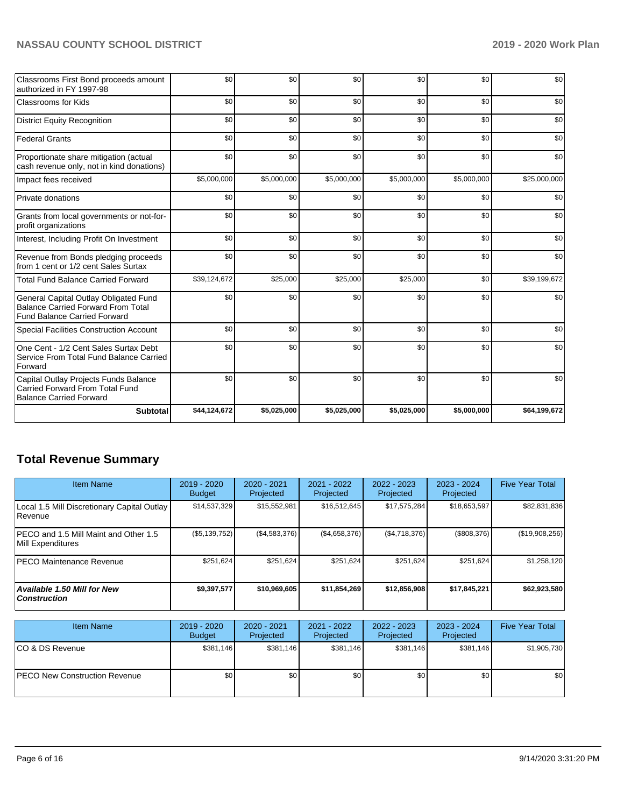| Classrooms First Bond proceeds amount<br>authorized in FY 1997-98                                                         | \$0          | \$0         | \$0         | \$0         | \$0         | \$0          |
|---------------------------------------------------------------------------------------------------------------------------|--------------|-------------|-------------|-------------|-------------|--------------|
| <b>Classrooms for Kids</b>                                                                                                | \$0          | \$0         | \$0         | \$0         | \$0         | \$0          |
| <b>District Equity Recognition</b>                                                                                        | \$0          | \$0         | \$0         | \$0         | \$0         | \$0          |
| <b>Federal Grants</b>                                                                                                     | \$0          | \$0         | \$0         | \$0         | \$0         | \$0          |
| Proportionate share mitigation (actual<br>cash revenue only, not in kind donations)                                       | \$0          | \$0         | \$0         | \$0         | \$0         | \$0          |
| Impact fees received                                                                                                      | \$5,000,000  | \$5,000,000 | \$5,000,000 | \$5,000,000 | \$5,000,000 | \$25,000,000 |
| Private donations                                                                                                         | \$0          | \$0         | \$0         | \$0         | \$0         | \$0          |
| Grants from local governments or not-for-<br>profit organizations                                                         | \$0          | \$0         | \$0         | \$0         | \$0         | \$0          |
| Interest, Including Profit On Investment                                                                                  | \$0          | \$0         | \$0         | \$0         | \$0         | \$0          |
| Revenue from Bonds pledging proceeds<br>from 1 cent or 1/2 cent Sales Surtax                                              | \$0          | \$0         | \$0         | \$0         | \$0         | \$0          |
| <b>Total Fund Balance Carried Forward</b>                                                                                 | \$39,124,672 | \$25,000    | \$25,000    | \$25,000    | \$0         | \$39,199,672 |
| General Capital Outlay Obligated Fund<br><b>Balance Carried Forward From Total</b><br><b>Fund Balance Carried Forward</b> | \$0          | \$0         | \$0         | \$0         | \$0         | \$0          |
| Special Facilities Construction Account                                                                                   | \$0          | \$0         | \$0         | \$0         | \$0         | \$0          |
| One Cent - 1/2 Cent Sales Surtax Debt<br>Service From Total Fund Balance Carried<br>Forward                               | \$0          | \$0         | \$0         | \$0         | \$0         | \$0          |
| Capital Outlay Projects Funds Balance<br><b>Carried Forward From Total Fund</b><br><b>Balance Carried Forward</b>         | \$0          | \$0         | \$0         | \$0         | \$0         | \$0          |
| <b>Subtotal</b>                                                                                                           | \$44,124,672 | \$5,025,000 | \$5,025,000 | \$5,025,000 | \$5,000,000 | \$64,199,672 |

## **Total Revenue Summary**

| <b>Item Name</b>                                            | $2019 - 2020$<br><b>Budget</b> | 2020 - 2021<br>Projected | 2021 - 2022<br>Projected | $2022 - 2023$<br>Projected | 2023 - 2024<br>Projected | <b>Five Year Total</b> |
|-------------------------------------------------------------|--------------------------------|--------------------------|--------------------------|----------------------------|--------------------------|------------------------|
| Local 1.5 Mill Discretionary Capital Outlay<br>l Revenue    | \$14,537,329                   | \$15,552,981             | \$16,512,645             | \$17,575,284               | \$18,653,597             | \$82,831,836           |
| IPECO and 1.5 Mill Maint and Other 1.5<br>Mill Expenditures | (\$5,139,752)                  | (\$4,583,376)            | (\$4,658,376)            | (\$4,718,376)              | (\$808,376)              | (\$19,908,256)         |
| <b>IPECO Maintenance Revenue</b>                            | \$251.624                      | \$251.624                | \$251,624                | \$251.624                  | \$251,624                | \$1,258,120            |
| Available 1.50 Mill for New<br><b>Construction</b>          | \$9,397,577                    | \$10,969,605             | \$11,854,269             | \$12,856,908               | \$17,845,221             | \$62,923,580           |

| <b>Item Name</b>                      | 2019 - 2020<br><b>Budget</b> | $2020 - 2021$<br>Projected | 2021 - 2022<br>Projected | 2022 - 2023<br>Projected | 2023 - 2024<br>Projected | <b>Five Year Total</b> |
|---------------------------------------|------------------------------|----------------------------|--------------------------|--------------------------|--------------------------|------------------------|
| ICO & DS Revenue                      | \$381,146                    | \$381,146                  | \$381.146                | \$381.146                | \$381,146                | \$1,905,730            |
| <b>IPECO New Construction Revenue</b> | \$0 <sub>1</sub>             | \$0                        | \$0                      | \$0                      | \$0 <sub>1</sub>         | \$0                    |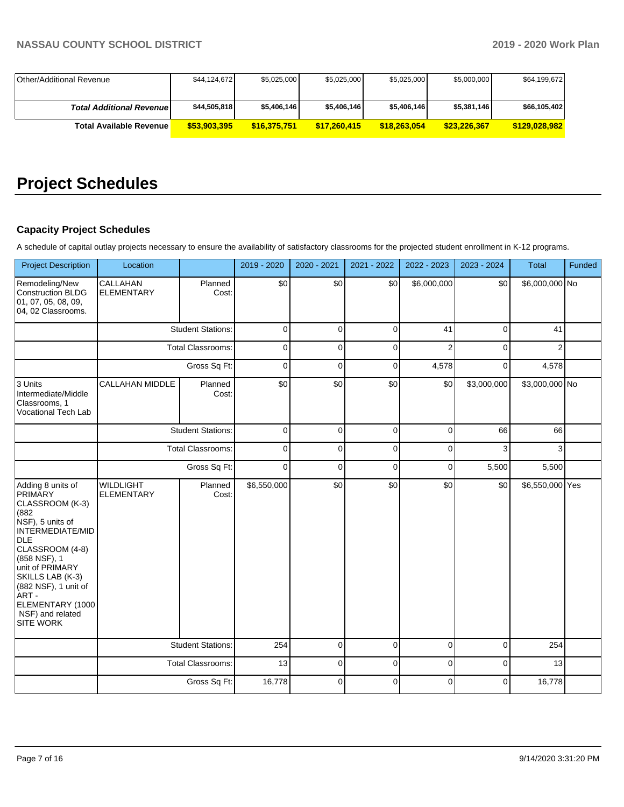| Other/Additional Revenue        | \$44,124,672 | \$5,025,000  | \$5,025,000  | \$5,025,000  | \$5,000,000  | \$64,199,672  |
|---------------------------------|--------------|--------------|--------------|--------------|--------------|---------------|
|                                 |              |              |              |              |              |               |
| <b>Total Additional Revenue</b> | \$44,505,818 | \$5,406,146  | \$5,406,146  | \$5,406,146  | \$5,381,146  | \$66,105,402  |
| <b>Total Available Revenue</b>  | \$53,903,395 | \$16,375,751 | \$17.260,415 | \$18,263,054 | \$23.226.367 | \$129.028.982 |

# **Project Schedules**

## **Capacity Project Schedules**

A schedule of capital outlay projects necessary to ensure the availability of satisfactory classrooms for the projected student enrollment in K-12 programs.

| <b>Project Description</b>                                                                                                                                                                                                                                                            | Location                              |                          | 2019 - 2020 | 2020 - 2021 | 2021 - 2022    | 2022 - 2023    | 2023 - 2024 | Total           | Funded |
|---------------------------------------------------------------------------------------------------------------------------------------------------------------------------------------------------------------------------------------------------------------------------------------|---------------------------------------|--------------------------|-------------|-------------|----------------|----------------|-------------|-----------------|--------|
| Remodeling/New<br>Construction BLDG<br> 01, 07, 05, 08, 09,<br>04, 02 Classrooms.                                                                                                                                                                                                     | CALLAHAN<br><b>ELEMENTARY</b>         | Planned<br>Cost:         | \$0         | \$0         | \$0            | \$6,000,000    | \$0         | \$6,000,000 No  |        |
|                                                                                                                                                                                                                                                                                       |                                       | <b>Student Stations:</b> | $\mathbf 0$ | $\mathbf 0$ | 0              | 41             | 0           | 41              |        |
|                                                                                                                                                                                                                                                                                       |                                       | <b>Total Classrooms:</b> | 0           | $\mathbf 0$ | 0              | $\overline{2}$ | $\Omega$    | 2               |        |
|                                                                                                                                                                                                                                                                                       |                                       | Gross Sq Ft:             | $\mathbf 0$ | $\mathbf 0$ | $\mathbf 0$    | 4,578          | $\Omega$    | 4,578           |        |
| 3 Units<br>Intermediate/Middle<br>Classrooms, 1<br><b>Vocational Tech Lab</b>                                                                                                                                                                                                         | <b>CALLAHAN MIDDLE</b>                | Planned<br>Cost:         | \$0         | \$0         | \$0            | \$0            | \$3,000,000 | \$3,000,000 No  |        |
|                                                                                                                                                                                                                                                                                       | <b>Student Stations:</b>              |                          | $\mathbf 0$ | $\mathbf 0$ | 0              | $\Omega$       | 66          | 66              |        |
|                                                                                                                                                                                                                                                                                       | <b>Total Classrooms:</b>              |                          | $\mathbf 0$ | $\Omega$    | $\Omega$       | $\Omega$       | 3           | 3               |        |
|                                                                                                                                                                                                                                                                                       | Gross Sq Ft:                          |                          | $\Omega$    | $\Omega$    | $\Omega$       | $\Omega$       | 5,500       | 5,500           |        |
| Adding 8 units of<br>PRIMARY<br>CLASSROOM (K-3)<br>(882)<br>NSF), 5 units of<br><b>INTERMEDIATE/MID</b><br>DLE<br>CLASSROOM (4-8)<br>(858 NSF), 1<br>unit of PRIMARY<br>SKILLS LAB (K-3)<br>(882 NSF), 1 unit of<br>ART -<br>ELEMENTARY (1000<br>NSF) and related<br><b>SITE WORK</b> | <b>WILDLIGHT</b><br><b>ELEMENTARY</b> | Planned<br>Cost:         | \$6,550,000 | \$0         | \$0            | \$0            | \$0         | \$6,550,000 Yes |        |
|                                                                                                                                                                                                                                                                                       |                                       | <b>Student Stations:</b> | 254         | $\mathbf 0$ | 0              | 0              | 0           | 254             |        |
|                                                                                                                                                                                                                                                                                       |                                       | <b>Total Classrooms:</b> | 13          | $\mathbf 0$ | 0              | 0              | 0           | 13              |        |
|                                                                                                                                                                                                                                                                                       |                                       | Gross Sq Ft:             | 16,778      | $\Omega$    | $\overline{0}$ | $\Omega$       | $\Omega$    | 16,778          |        |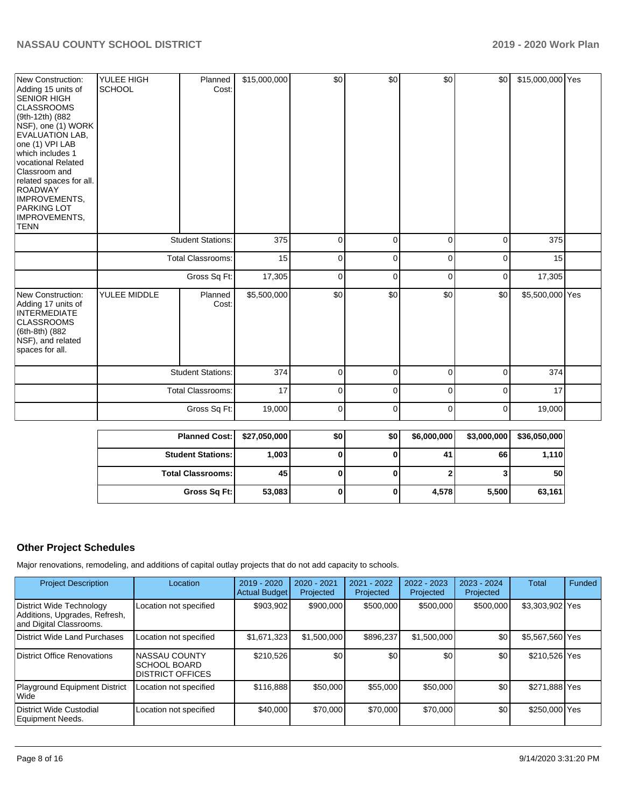| New Construction:<br>Adding 15 units of<br> SENIÓR HIGH<br><b>CLASSROOMS</b><br>(9th-12th) (882)<br>NSF), one (1) WORK<br>EVALUATION LAB,<br>one (1) VPI LAB<br>which includes 1<br>vocational Related<br>Classroom and<br>related spaces for all.<br>ROADWAY<br>IMPROVEMENTS,<br><b>PARKING LOT</b><br>IMPROVEMENTS,<br><b>TENN</b> | YULEE HIGH<br><b>SCHOOL</b> | Planned<br>Cost:         | \$15,000,000 | \$0          | \$0         | \$0            | \$0         | \$15,000,000 Yes |  |
|--------------------------------------------------------------------------------------------------------------------------------------------------------------------------------------------------------------------------------------------------------------------------------------------------------------------------------------|-----------------------------|--------------------------|--------------|--------------|-------------|----------------|-------------|------------------|--|
|                                                                                                                                                                                                                                                                                                                                      |                             | <b>Student Stations:</b> | 375          | $\mathbf 0$  | $\pmb{0}$   | $\mathbf 0$    | $\mathbf 0$ | 375              |  |
|                                                                                                                                                                                                                                                                                                                                      | <b>Total Classrooms:</b>    |                          | 15           | $\mathbf 0$  | $\mathbf 0$ | $\mathbf 0$    | $\mathbf 0$ | 15               |  |
|                                                                                                                                                                                                                                                                                                                                      | Gross Sq Ft:                |                          | 17,305       | $\mathbf 0$  | $\mathbf 0$ | $\Omega$       | $\mathbf 0$ | 17,305           |  |
| New Construction:<br>Adding 17 units of<br><b>INTERMEDIATE</b><br><b>CLASSROOMS</b><br>(6th-8th) (882<br>NSF), and related<br>spaces for all.                                                                                                                                                                                        | YULEE MIDDLE                | Planned<br>Cost:         | \$5,500,000  | \$0          | \$0         | \$0            | \$0         | \$5,500,000 Yes  |  |
|                                                                                                                                                                                                                                                                                                                                      |                             | <b>Student Stations:</b> | 374          | $\mathbf 0$  | $\pmb{0}$   | 0              | 0           | 374              |  |
|                                                                                                                                                                                                                                                                                                                                      | <b>Total Classrooms:</b>    |                          | 17           | $\mathbf 0$  | $\mathbf 0$ | 0              | $\mathbf 0$ | 17               |  |
|                                                                                                                                                                                                                                                                                                                                      | Gross Sq Ft:                |                          | 19,000       | 0            | 0           | 0              | 0           | 19,000           |  |
|                                                                                                                                                                                                                                                                                                                                      |                             | <b>Planned Cost:</b>     | \$27,050,000 | \$0          | \$0         | \$6,000,000    | \$3,000,000 | \$36,050,000     |  |
|                                                                                                                                                                                                                                                                                                                                      |                             | <b>Student Stations:</b> | 1,003        | $\bf{0}$     | $\bf{0}$    | 41             | 66          | 1,110            |  |
|                                                                                                                                                                                                                                                                                                                                      |                             | <b>Total Classrooms:</b> | 45           | $\mathbf{0}$ | $\bf{0}$    | $\overline{2}$ | 3           | 50               |  |
|                                                                                                                                                                                                                                                                                                                                      |                             | Gross Sq Ft:             | 53,083       | $\bf{0}$     | $\bf{0}$    | 4,578          | 5,500       | 63,161           |  |

## **Other Project Schedules**

Major renovations, remodeling, and additions of capital outlay projects that do not add capacity to schools.

| <b>Project Description</b>                                                           | Location                                                         | 2019 - 2020<br><b>Actual Budget</b> | $2020 - 2021$<br>Projected | 2021 - 2022<br>Projected | 2022 - 2023<br>Projected | $2023 - 2024$<br>Projected | <b>Total</b>    | Funded |
|--------------------------------------------------------------------------------------|------------------------------------------------------------------|-------------------------------------|----------------------------|--------------------------|--------------------------|----------------------------|-----------------|--------|
| District Wide Technology<br>Additions, Upgrades, Refresh,<br>and Digital Classrooms. | Location not specified                                           | \$903,902                           | \$900,000                  | \$500,000                | \$500,000                | \$500,000                  | \$3,303,902 Yes |        |
| District Wide Land Purchases                                                         | Location not specified                                           | \$1,671,323                         | \$1,500,000                | \$896.237                | \$1,500,000              | \$0                        | \$5,567,560 Yes |        |
| District Office Renovations                                                          | <b>NASSAU COUNTY</b><br>ISCHOOL BOARD<br><b>DISTRICT OFFICES</b> | \$210,526                           | \$0                        | \$0                      | \$0                      | \$0                        | \$210,526 Yes   |        |
| <b>Playground Equipment District</b><br>Wide                                         | Location not specified                                           | \$116,888                           | \$50,000                   | \$55,000                 | \$50,000                 | \$0                        | \$271,888 Yes   |        |
| District Wide Custodial<br>Equipment Needs.                                          | Location not specified                                           | \$40,000                            | \$70,000                   | \$70,000                 | \$70,000                 | \$0                        | \$250,000 Yes   |        |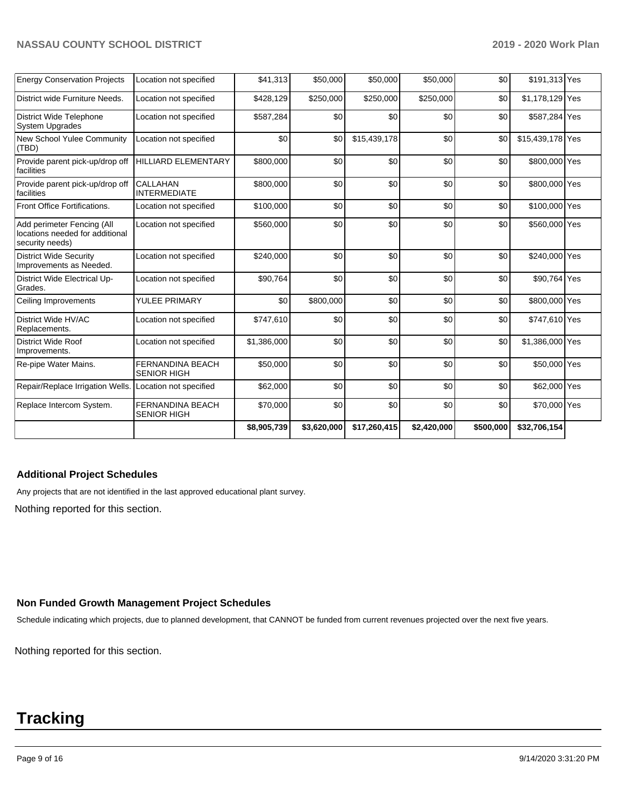| <b>Energy Conservation Projects</b>                                              | Location not specified                        | \$41,313    | \$50,000    | \$50,000     | \$50,000    | \$0       | \$191,313 Yes    |  |
|----------------------------------------------------------------------------------|-----------------------------------------------|-------------|-------------|--------------|-------------|-----------|------------------|--|
| District wide Furniture Needs.                                                   | Location not specified                        | \$428,129   | \$250,000   | \$250,000    | \$250,000   | \$0       | \$1,178,129 Yes  |  |
| <b>District Wide Telephone</b><br><b>System Upgrades</b>                         | Location not specified                        | \$587,284   | \$0         | \$0          | \$0         | \$0       | \$587,284 Yes    |  |
| New School Yulee Community<br>(TBD)                                              | Location not specified                        | \$0         | \$0         | \$15,439,178 | \$0         | \$0       | \$15,439,178 Yes |  |
| Provide parent pick-up/drop off<br>facilities                                    | HILLIARD ELEMENTARY                           | \$800,000   | \$0         | \$0          | \$0         | \$0       | \$800,000 Yes    |  |
| Provide parent pick-up/drop off<br><i><b>Ifacilities</b></i>                     | CALLAHAN<br><b>INTERMEDIATE</b>               | \$800,000   | \$0         | \$0          | \$0         | \$0       | \$800,000 Yes    |  |
| Front Office Fortifications.                                                     | Location not specified                        | \$100,000   | \$0         | \$0          | \$0         | \$0       | \$100,000 Yes    |  |
| Add perimeter Fencing (All<br>locations needed for additional<br>security needs) | Location not specified                        | \$560,000   | \$0         | \$0          | \$0         | \$0       | \$560,000 Yes    |  |
| <b>District Wide Security</b><br>Improvements as Needed.                         | Location not specified                        | \$240,000   | \$0         | \$0          | \$0         | \$0       | \$240,000 Yes    |  |
| District Wide Electrical Up-<br>Grades.                                          | Location not specified                        | \$90,764    | \$0         | \$0          | \$0         | \$0       | \$90,764 Yes     |  |
| Ceiling Improvements                                                             | YULEE PRIMARY                                 | \$0         | \$800,000   | \$0          | \$0         | \$0       | \$800,000 Yes    |  |
| District Wide HV/AC<br>Replacements.                                             | Location not specified                        | \$747,610   | \$0         | \$0          | \$0         | \$0       | \$747,610 Yes    |  |
| District Wide Roof<br>Improvements.                                              | Location not specified                        | \$1,386,000 | \$0         | \$0          | \$0         | \$0       | \$1,386,000 Yes  |  |
| Re-pipe Water Mains.                                                             | <b>FERNANDINA BEACH</b><br><b>SENIOR HIGH</b> | \$50,000    | \$0         | \$0          | \$0         | \$0       | \$50,000 Yes     |  |
| Repair/Replace Irrigation Wells.                                                 | Location not specified                        | \$62,000    | \$0         | \$0          | \$0         | \$0       | \$62,000 Yes     |  |
| Replace Intercom System.                                                         | <b>FERNANDINA BEACH</b><br><b>SENIOR HIGH</b> | \$70,000    | \$0         | \$0          | \$0         | \$0       | \$70,000 Yes     |  |
|                                                                                  |                                               | \$8,905,739 | \$3,620,000 | \$17,260,415 | \$2,420,000 | \$500,000 | \$32,706,154     |  |

## **Additional Project Schedules**

Any projects that are not identified in the last approved educational plant survey.

Nothing reported for this section.

## **Non Funded Growth Management Project Schedules**

Schedule indicating which projects, due to planned development, that CANNOT be funded from current revenues projected over the next five years.

Nothing reported for this section.

# **Tracking**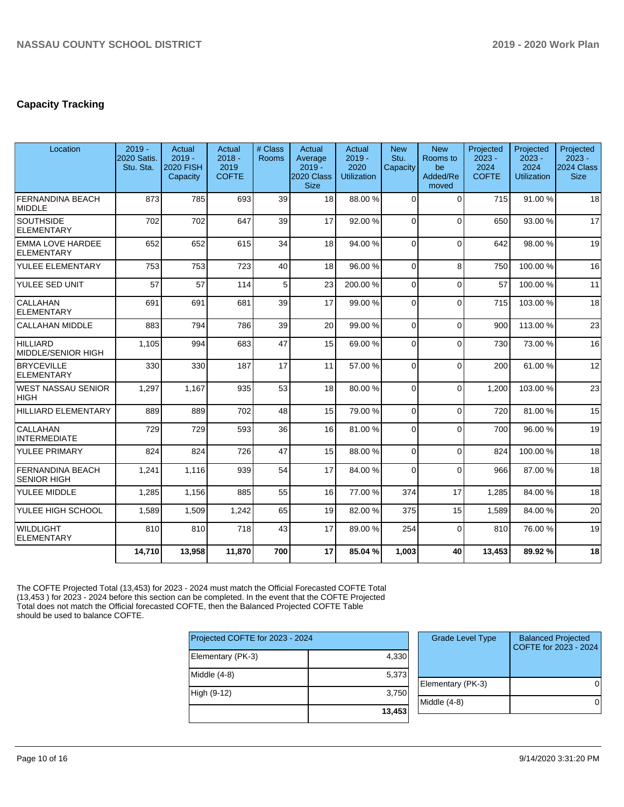## **Capacity Tracking**

| Location                                      | $2019 -$<br>2020 Satis.<br>Stu. Sta. | Actual<br>$2019 -$<br><b>2020 FISH</b><br>Capacity | <b>Actual</b><br>$2018 -$<br>2019<br><b>COFTE</b> | # Class<br><b>Rooms</b> | Actual<br>Average<br>$2019 -$<br>2020 Class<br><b>Size</b> | Actual<br>$2019 -$<br>2020<br><b>Utilization</b> | <b>New</b><br>Stu.<br>Capacity | <b>New</b><br>Rooms to<br>be<br>Added/Re<br>moved | Projected<br>$2023 -$<br>2024<br><b>COFTE</b> | Projected<br>$2023 -$<br>2024<br><b>Utilization</b> | Projected<br>$2023 -$<br>2024 Class<br><b>Size</b> |
|-----------------------------------------------|--------------------------------------|----------------------------------------------------|---------------------------------------------------|-------------------------|------------------------------------------------------------|--------------------------------------------------|--------------------------------|---------------------------------------------------|-----------------------------------------------|-----------------------------------------------------|----------------------------------------------------|
| <b>FERNANDINA BEACH</b><br><b>MIDDLE</b>      | 873                                  | 785                                                | 693                                               | 39                      | 18                                                         | 88.00 %                                          | $\Omega$                       | $\Omega$                                          | 715                                           | 91.00 %                                             | 18                                                 |
| <b>SOUTHSIDE</b><br><b>ELEMENTARY</b>         | 702                                  | 702                                                | 647                                               | 39                      | 17                                                         | 92.00%                                           | $\Omega$                       | $\Omega$                                          | 650                                           | 93.00 %                                             | 17                                                 |
| <b>EMMA LOVE HARDEE</b><br><b>ELEMENTARY</b>  | 652                                  | 652                                                | 615                                               | 34                      | 18                                                         | 94.00 %                                          | $\Omega$                       | $\Omega$                                          | 642                                           | 98.00 %                                             | 19                                                 |
| YULEE ELEMENTARY                              | 753                                  | 753                                                | 723                                               | 40                      | 18                                                         | 96.00 %                                          | $\Omega$                       | 8                                                 | 750                                           | 100.00%                                             | 16                                                 |
| YULEE SED UNIT                                | 57                                   | 57                                                 | 114                                               | 5                       | 23                                                         | 200.00%                                          | $\Omega$                       | $\Omega$                                          | 57                                            | 100.00%                                             | 11                                                 |
| <b>CALLAHAN</b><br><b>ELEMENTARY</b>          | 691                                  | 691                                                | 681                                               | 39                      | 17                                                         | 99.00 %                                          | $\Omega$                       | $\Omega$                                          | 715                                           | 103.00%                                             | 18                                                 |
| <b>CALLAHAN MIDDLE</b>                        | 883                                  | 794                                                | 786                                               | 39                      | 20                                                         | 99.00 %                                          | $\Omega$                       | $\Omega$                                          | 900                                           | 113.00 %                                            | 23                                                 |
| <b>HILLIARD</b><br><b>MIDDLE/SENIOR HIGH</b>  | 1,105                                | 994                                                | 683                                               | 47                      | 15                                                         | 69.00 %                                          | $\Omega$                       | $\Omega$                                          | 730                                           | 73.00 %                                             | 16                                                 |
| <b>BRYCEVILLE</b><br><b>ELEMENTARY</b>        | 330                                  | 330                                                | 187                                               | 17                      | 11                                                         | 57.00 %                                          | $\Omega$                       | $\Omega$                                          | 200                                           | 61.00%                                              | 12                                                 |
| <b>WEST NASSAU SENIOR</b><br><b>HIGH</b>      | 1,297                                | 1,167                                              | 935                                               | 53                      | 18                                                         | 80.00%                                           | 0                              | $\Omega$                                          | 1.200                                         | 103.00%                                             | 23                                                 |
| <b>HILLIARD ELEMENTARY</b>                    | 889                                  | 889                                                | 702                                               | 48                      | 15                                                         | 79.00 %                                          | $\Omega$                       | $\mathbf{0}$                                      | 720                                           | 81.00%                                              | 15                                                 |
| <b>CALLAHAN</b><br><b>INTERMEDIATE</b>        | 729                                  | 729                                                | 593                                               | 36                      | 16                                                         | 81.00%                                           | $\Omega$                       | $\Omega$                                          | 700                                           | 96.00 %                                             | 19                                                 |
| YULEE PRIMARY                                 | 824                                  | 824                                                | 726                                               | 47                      | 15                                                         | 88.00 %                                          | 0                              | $\Omega$                                          | 824                                           | 100.00%                                             | 18                                                 |
| <b>FERNANDINA BEACH</b><br><b>SENIOR HIGH</b> | 1,241                                | 1.116                                              | 939                                               | 54                      | 17                                                         | 84.00 %                                          | $\Omega$                       | $\Omega$                                          | 966                                           | 87.00 %                                             | 18                                                 |
| YULEE MIDDLE                                  | 1,285                                | 1,156                                              | 885                                               | 55                      | 16                                                         | 77.00 %                                          | 374                            | 17                                                | 1,285                                         | 84.00%                                              | 18                                                 |
| YULEE HIGH SCHOOL                             | 1,589                                | 1,509                                              | 1,242                                             | 65                      | 19                                                         | 82.00 %                                          | 375                            | 15                                                | 1,589                                         | 84.00 %                                             | 20                                                 |
| <b>WILDLIGHT</b><br><b>ELEMENTARY</b>         | 810                                  | 810                                                | 718                                               | 43                      | 17                                                         | 89.00 %                                          | 254                            | $\mathbf{0}$                                      | 810                                           | 76.00 %                                             | 19                                                 |
|                                               | 14,710                               | 13,958                                             | 11,870                                            | 700                     | 17                                                         | 85.04%                                           | 1,003                          | 40                                                | 13,453                                        | 89.92%                                              | 18                                                 |

The COFTE Projected Total (13,453) for 2023 - 2024 must match the Official Forecasted COFTE Total (13,453 ) for 2023 - 2024 before this section can be completed. In the event that the COFTE Projected Total does not match the Official forecasted COFTE, then the Balanced Projected COFTE Table should be used to balance COFTE.

| Projected COFTE for 2023 - 2024 |        |
|---------------------------------|--------|
| Elementary (PK-3)               | 4,330  |
| Middle (4-8)                    | 5,373  |
| High (9-12)                     | 3,750  |
|                                 | 13,453 |

| <b>Grade Level Type</b> | <b>Balanced Projected</b><br>COFTE for 2023 - 2024 |
|-------------------------|----------------------------------------------------|
| Elementary (PK-3)       |                                                    |
| Middle (4-8)            |                                                    |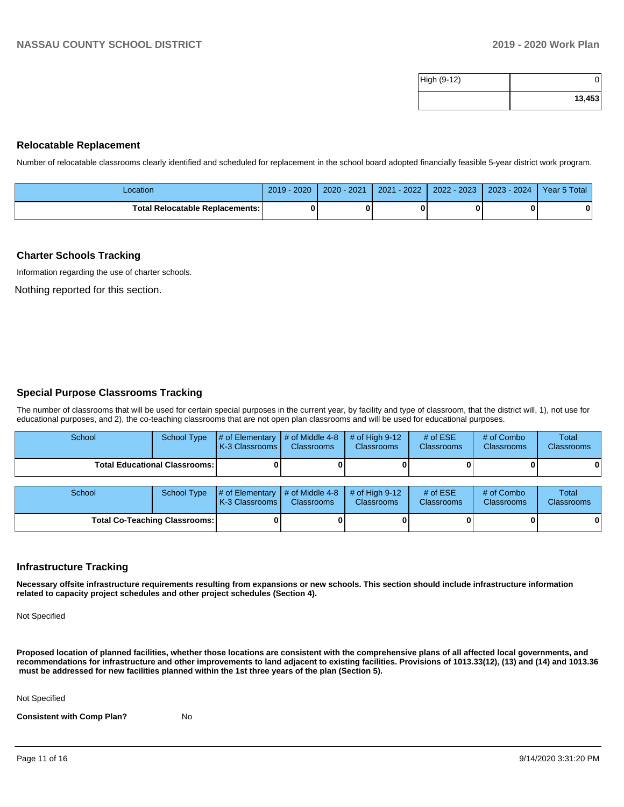| High (9-12) |        |
|-------------|--------|
|             | 13,453 |

#### **Relocatable Replacement**

Number of relocatable classrooms clearly identified and scheduled for replacement in the school board adopted financially feasible 5-year district work program.

| Location                               | 2020<br>$2019 -$ | 2020 - 2021 | $-2022$<br>2021 | $2022 - 2023$ | 2023 - 2024 | Year 5 Total |
|----------------------------------------|------------------|-------------|-----------------|---------------|-------------|--------------|
| <b>Total Relocatable Replacements:</b> |                  |             |                 |               |             |              |

#### **Charter Schools Tracking**

Information regarding the use of charter schools.

Nothing reported for this section.

## **Special Purpose Classrooms Tracking**

The number of classrooms that will be used for certain special purposes in the current year, by facility and type of classroom, that the district will, 1), not use for educational purposes, and 2), the co-teaching classrooms that are not open plan classrooms and will be used for educational purposes.

| School                                 | School Type | $\parallel$ # of Elementary $\parallel$ # of Middle 4-8 $\parallel$ # of High 9-12<br><b>K-3 Classrooms I</b> | <b>Classrooms</b> | <b>Classrooms</b> | # of $ESE$<br><b>Classrooms</b> | # of Combo<br><b>Classrooms</b> | Total<br><b>Classrooms</b> |
|----------------------------------------|-------------|---------------------------------------------------------------------------------------------------------------|-------------------|-------------------|---------------------------------|---------------------------------|----------------------------|
| <b>Total Educational Classrooms: I</b> |             |                                                                                                               |                   |                   |                                 | 01                              |                            |

| School                               |  | School Type $\left  \frac{1}{2}$ of Elementary $\left  \frac{1}{2}$ of Middle 4-8 $\right $ # of High 9-12<br><b>K-3 Classrooms I</b> | <b>Classrooms</b> | <b>Classrooms</b> | # of $ESE$<br><b>Classrooms</b> | # of Combo<br><b>Classrooms</b> | <b>Total</b><br><b>Classrooms</b> |  |
|--------------------------------------|--|---------------------------------------------------------------------------------------------------------------------------------------|-------------------|-------------------|---------------------------------|---------------------------------|-----------------------------------|--|
| <b>Total Co-Teaching Classrooms:</b> |  |                                                                                                                                       |                   |                   |                                 | 0                               | 0                                 |  |

## **Infrastructure Tracking**

**Necessary offsite infrastructure requirements resulting from expansions or new schools. This section should include infrastructure information related to capacity project schedules and other project schedules (Section 4).** 

Not Specified

**Proposed location of planned facilities, whether those locations are consistent with the comprehensive plans of all affected local governments, and recommendations for infrastructure and other improvements to land adjacent to existing facilities. Provisions of 1013.33(12), (13) and (14) and 1013.36** must be addressed for new facilities planned within the 1st three years of the plan (Section 5).

Not Specified

**Consistent with Comp Plan?** No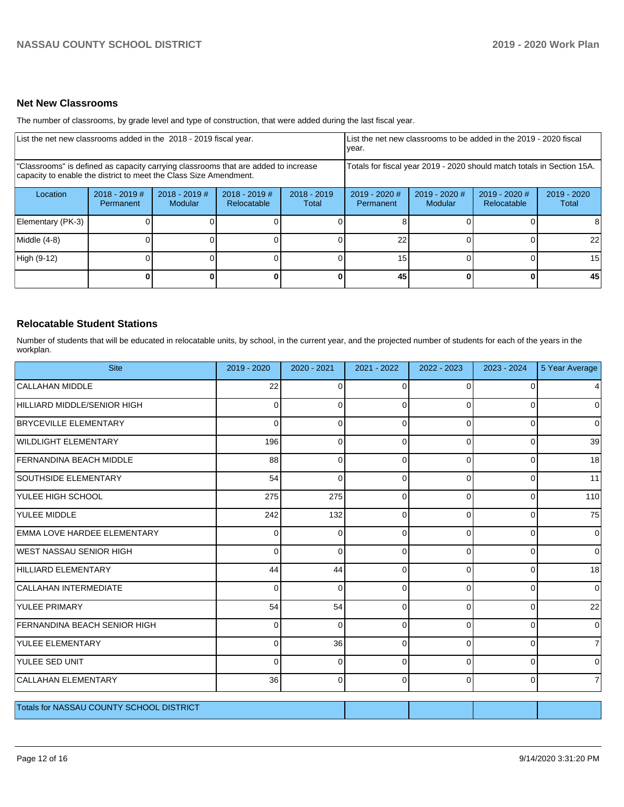## **Net New Classrooms**

The number of classrooms, by grade level and type of construction, that were added during the last fiscal year.

| List the net new classrooms added in the 2018 - 2019 fiscal year.                                                                                       | List the net new classrooms to be added in the 2019 - 2020 fiscal<br>year. |                            |                                                                        |                        |                              |                            |                              |                      |
|---------------------------------------------------------------------------------------------------------------------------------------------------------|----------------------------------------------------------------------------|----------------------------|------------------------------------------------------------------------|------------------------|------------------------------|----------------------------|------------------------------|----------------------|
| "Classrooms" is defined as capacity carrying classrooms that are added to increase<br>capacity to enable the district to meet the Class Size Amendment. |                                                                            |                            | Totals for fiscal year 2019 - 2020 should match totals in Section 15A. |                        |                              |                            |                              |                      |
| Location                                                                                                                                                | $2018 - 2019$ #<br><b>Permanent</b>                                        | $2018 - 2019$ #<br>Modular | $2018 - 2019$ #<br>Relocatable                                         | $2018 - 2019$<br>Total | $2019 - 2020$ #<br>Permanent | $2019 - 2020$ #<br>Modular | 2019 - 2020 #<br>Relocatable | 2019 - 2020<br>Total |
| Elementary (PK-3)                                                                                                                                       |                                                                            |                            |                                                                        |                        |                              |                            |                              |                      |
| Middle (4-8)                                                                                                                                            |                                                                            |                            |                                                                        |                        | 22                           |                            |                              | 22                   |
| High (9-12)                                                                                                                                             |                                                                            |                            |                                                                        |                        | 15                           |                            |                              | 15                   |
|                                                                                                                                                         |                                                                            |                            |                                                                        | 0                      | 45                           |                            | $\mathbf{0}$                 | 45                   |

## **Relocatable Student Stations**

Number of students that will be educated in relocatable units, by school, in the current year, and the projected number of students for each of the years in the workplan.

| <b>Site</b>                                     | 2019 - 2020 | $2020 - 2021$ | 2021 - 2022 | 2022 - 2023 | 2023 - 2024 | 5 Year Average |
|-------------------------------------------------|-------------|---------------|-------------|-------------|-------------|----------------|
| <b>CALLAHAN MIDDLE</b>                          | 22          | $\Omega$      | 0           | $\Omega$    |             | $\overline{4}$ |
| HILLIARD MIDDLE/SENIOR HIGH                     | $\Omega$    | $\Omega$      | $\Omega$    | $\Omega$    | $\Omega$    | $\overline{0}$ |
| <b>BRYCEVILLE ELEMENTARY</b>                    | $\Omega$    | $\Omega$      | $\Omega$    | $\Omega$    | $\Omega$    | $\overline{0}$ |
| <b>WILDLIGHT ELEMENTARY</b>                     | 196         | 0             | 0           | $\Omega$    | $\Omega$    | 39             |
| <b>FERNANDINA BEACH MIDDLE</b>                  | 88          | 0             | $\Omega$    | 0           | 0           | 18             |
| <b>SOUTHSIDE ELEMENTARY</b>                     | 54          | $\Omega$      | 0           | $\Omega$    | 0           | 11             |
| YULEE HIGH SCHOOL                               | 275         | 275           | 0           | $\Omega$    | 0           | 110            |
| YULEE MIDDLE                                    | 242         | 132           | $\Omega$    | $\Omega$    | 0           | 75             |
| EMMA LOVE HARDEE ELEMENTARY                     | $\Omega$    | $\Omega$      | 0           | $\Omega$    | $\Omega$    | $\overline{0}$ |
| WEST NASSAU SENIOR HIGH                         | $\Omega$    | $\Omega$      | $\Omega$    | $\Omega$    | $\Omega$    | $\overline{0}$ |
| HILLIARD ELEMENTARY                             | 44          | 44            | $\Omega$    | 0           | 0           | 18             |
| <b>CALLAHAN INTERMEDIATE</b>                    | $\Omega$    | $\Omega$      | 0           | $\Omega$    | $\Omega$    | 0              |
| <b>YULEE PRIMARY</b>                            | 54          | 54            | 0           | $\Omega$    | $\Omega$    | 22             |
| FERNANDINA BEACH SENIOR HIGH                    | $\Omega$    | $\Omega$      | $\Omega$    | $\Omega$    | $\Omega$    | $\overline{0}$ |
| YULEE ELEMENTARY                                | $\Omega$    | 36            | $\Omega$    | $\Omega$    | $\Omega$    | $\overline{7}$ |
| YULEE SED UNIT                                  | $\Omega$    | $\Omega$      | $\Omega$    | $\Omega$    | 0           | 0              |
| <b>CALLAHAN ELEMENTARY</b>                      | 36          | $\mathbf 0$   | $\Omega$    | $\Omega$    | $\Omega$    | 7              |
| <b>Totals for NASSAU COUNTY SCHOOL DISTRICT</b> |             |               |             |             |             |                |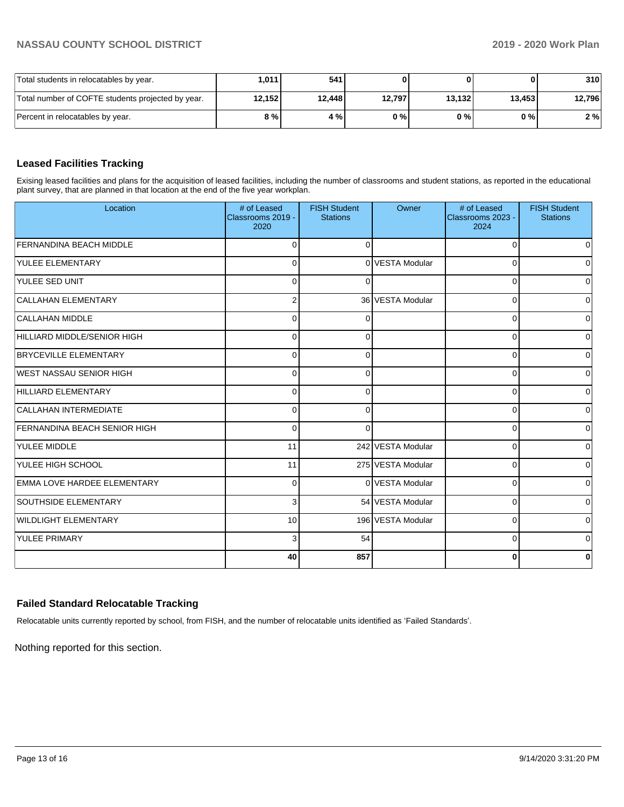| Total students in relocatables by year.           | ا 1011. | 541    |        |        | 01     | 310    |
|---------------------------------------------------|---------|--------|--------|--------|--------|--------|
| Total number of COFTE students projected by year. | 12,152  | 12.448 | 12,797 | 13,132 | 13,453 | 12,796 |
| Percent in relocatables by year.                  | 8 % I   | 4 % I  | 0%     | 0 % I  | 0 % I  | 2 %    |

## **Leased Facilities Tracking**

Exising leased facilities and plans for the acquisition of leased facilities, including the number of classrooms and student stations, as reported in the educational plant survey, that are planned in that location at the end of the five year workplan.

| Location                            | # of Leased<br>Classrooms 2019 -<br>2020 | <b>FISH Student</b><br><b>Stations</b> | Owner             | # of Leased<br>Classrooms 2023 -<br>2024 | <b>FISH Student</b><br><b>Stations</b> |
|-------------------------------------|------------------------------------------|----------------------------------------|-------------------|------------------------------------------|----------------------------------------|
| <b>FERNANDINA BEACH MIDDLE</b>      | $\Omega$                                 | $\Omega$                               |                   | $\Omega$                                 | $\overline{0}$                         |
| <b>YULEE ELEMENTARY</b>             | $\Omega$                                 |                                        | 0 VESTA Modular   | $\Omega$                                 | $\overline{0}$                         |
| YULEE SED UNIT                      | $\Omega$                                 | $\Omega$                               |                   | 0                                        | $\overline{0}$                         |
| CALLAHAN ELEMENTARY                 | $\overline{2}$                           |                                        | 36 VESTA Modular  | $\Omega$                                 | $\overline{0}$                         |
| CALLAHAN MIDDLE                     | $\Omega$                                 | $\Omega$                               |                   | $\Omega$                                 | $\mathbf 0$                            |
| HILLIARD MIDDLE/SENIOR HIGH         | $\Omega$                                 | ∩                                      |                   | $\Omega$                                 | $\mathbf 0$                            |
| <b>BRYCEVILLE ELEMENTARY</b>        | $\Omega$                                 | ∩                                      |                   | $\Omega$                                 | $\overline{0}$                         |
| WEST NASSAU SENIOR HIGH             | $\Omega$                                 | $\Omega$                               |                   | $\Omega$                                 | $\overline{0}$                         |
| HILLIARD ELEMENTARY                 | $\Omega$                                 | $\Omega$                               |                   | $\Omega$                                 | $\overline{0}$                         |
| CALLAHAN INTERMEDIATE               | $\Omega$                                 | $\Omega$                               |                   | 0                                        | $\overline{0}$                         |
| <b>FERNANDINA BEACH SENIOR HIGH</b> | 0                                        | $\Omega$                               |                   | 0                                        | $\overline{0}$                         |
| <b>YULEE MIDDLE</b>                 | 11                                       |                                        | 242 VESTA Modular | $\Omega$                                 | $\overline{0}$                         |
| YULEE HIGH SCHOOL                   | 11                                       |                                        | 275 VESTA Modular | 0                                        | $\overline{0}$                         |
| EMMA LOVE HARDEE ELEMENTARY         | $\mathbf{0}$                             |                                        | 0 VESTA Modular   | $\Omega$                                 | $\overline{0}$                         |
| <b>SOUTHSIDE ELEMENTARY</b>         | 3                                        |                                        | 54 VESTA Modular  | $\Omega$                                 | $\overline{0}$                         |
| <b>WILDLIGHT ELEMENTARY</b>         | 10 <sup>1</sup>                          |                                        | 196 VESTA Modular | $\Omega$                                 | $\overline{0}$                         |
| <b>YULEE PRIMARY</b>                | 3                                        | 54                                     |                   | $\Omega$                                 | $\overline{0}$                         |
|                                     | 40                                       | 857                                    |                   | 0                                        | $\mathbf{0}$                           |

## **Failed Standard Relocatable Tracking**

Relocatable units currently reported by school, from FISH, and the number of relocatable units identified as 'Failed Standards'.

Nothing reported for this section.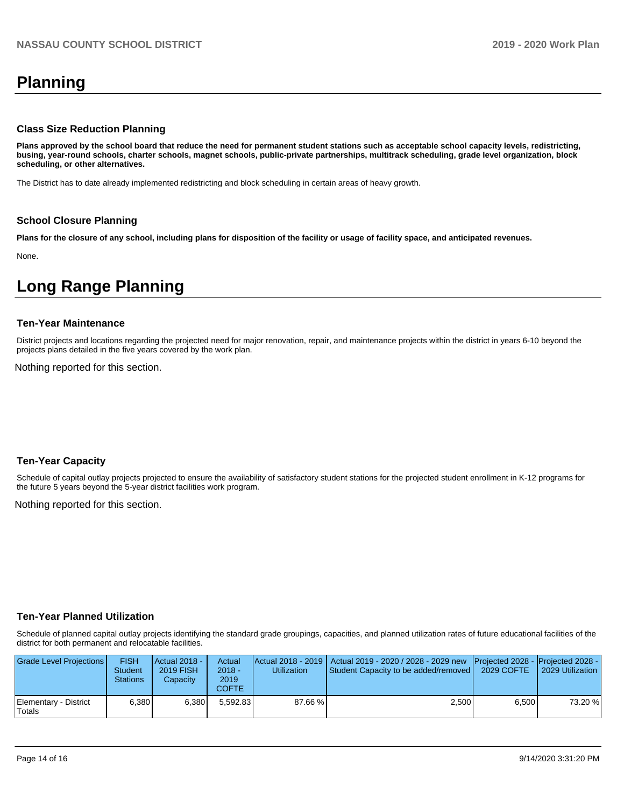## **Planning**

## **Class Size Reduction Planning**

**Plans approved by the school board that reduce the need for permanent student stations such as acceptable school capacity levels, redistricting, busing, year-round schools, charter schools, magnet schools, public-private partnerships, multitrack scheduling, grade level organization, block scheduling, or other alternatives.**

The District has to date already implemented redistricting and block scheduling in certain areas of heavy growth.

## **School Closure Planning**

**Plans for the closure of any school, including plans for disposition of the facility or usage of facility space, and anticipated revenues.** 

None.

## **Long Range Planning**

#### **Ten-Year Maintenance**

District projects and locations regarding the projected need for major renovation, repair, and maintenance projects within the district in years 6-10 beyond the projects plans detailed in the five years covered by the work plan.

Nothing reported for this section.

## **Ten-Year Capacity**

Schedule of capital outlay projects projected to ensure the availability of satisfactory student stations for the projected student enrollment in K-12 programs for the future 5 years beyond the 5-year district facilities work program.

Nothing reported for this section.

## **Ten-Year Planned Utilization**

Schedule of planned capital outlay projects identifying the standard grade groupings, capacities, and planned utilization rates of future educational facilities of the district for both permanent and relocatable facilities.

| Grade Level Projections         | <b>FISH</b><br><b>Student</b><br><b>Stations</b> | <b>Actual 2018 -</b><br>2019 FISH<br>Capacity | Actual<br>$2018 -$<br>2019<br>COFTE | Utilization | Actual 2018 - 2019   Actual 2019 - 2020 / 2028 - 2029 new   Projected 2028 -   Projected 2028 -<br><b>Student Capacity to be added/removed  </b> | 2029 COFTE | 2029 Utilization |
|---------------------------------|--------------------------------------------------|-----------------------------------------------|-------------------------------------|-------------|--------------------------------------------------------------------------------------------------------------------------------------------------|------------|------------------|
| Elementary - District<br>Totals | 6.380                                            | 6.380                                         | 5.592.83                            | 87.66 %     | 2.500                                                                                                                                            | 6.500      | 73.20 %          |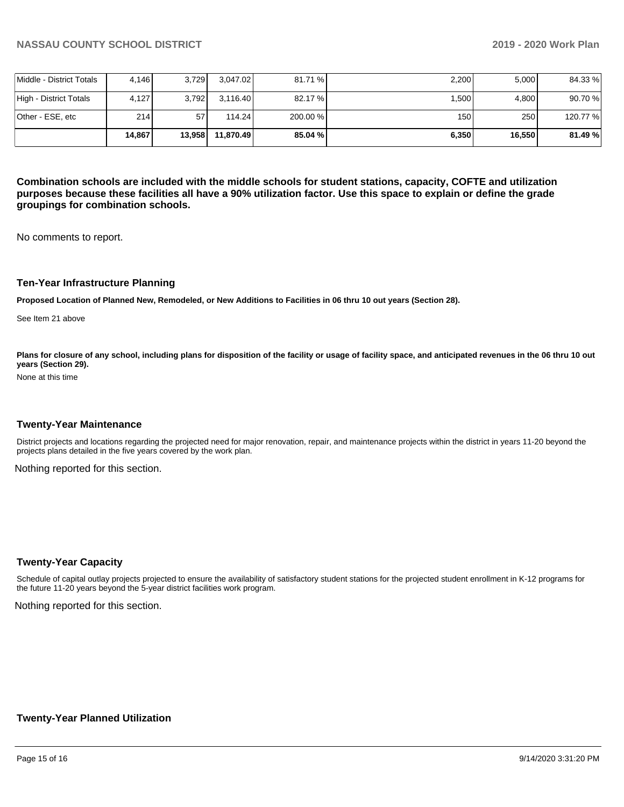|                          | 14.867 | 13.958 | 11.870.49 | 85.04 %  | 6,350 | 16,550 | 81.49%  |
|--------------------------|--------|--------|-----------|----------|-------|--------|---------|
| lOther - ESE. etc        | 214    | 57     | 114.24    | 200.00 % | 150   | 250    | 120.77% |
| High - District Totals   | 4,127  | 3.792  | 3.116.40  | 82.17 %  | 1.500 | 4.800  | 90.70%  |
| Middle - District Totals | 4.146  | 3.729  | 3.047.02  | 81.71 %  | 2,200 | 5,000  | 84.33 % |

**Combination schools are included with the middle schools for student stations, capacity, COFTE and utilization purposes because these facilities all have a 90% utilization factor. Use this space to explain or define the grade groupings for combination schools.** 

No comments to report.

#### **Ten-Year Infrastructure Planning**

**Proposed Location of Planned New, Remodeled, or New Additions to Facilities in 06 thru 10 out years (Section 28).**

See Item 21 above

Plans for closure of any school, including plans for disposition of the facility or usage of facility space, and anticipated revenues in the 06 thru 10 out **years (Section 29).**

None at this time

#### **Twenty-Year Maintenance**

District projects and locations regarding the projected need for major renovation, repair, and maintenance projects within the district in years 11-20 beyond the projects plans detailed in the five years covered by the work plan.

Nothing reported for this section.

#### **Twenty-Year Capacity**

Schedule of capital outlay projects projected to ensure the availability of satisfactory student stations for the projected student enrollment in K-12 programs for the future 11-20 years beyond the 5-year district facilities work program.

Nothing reported for this section.

## **Twenty-Year Planned Utilization**